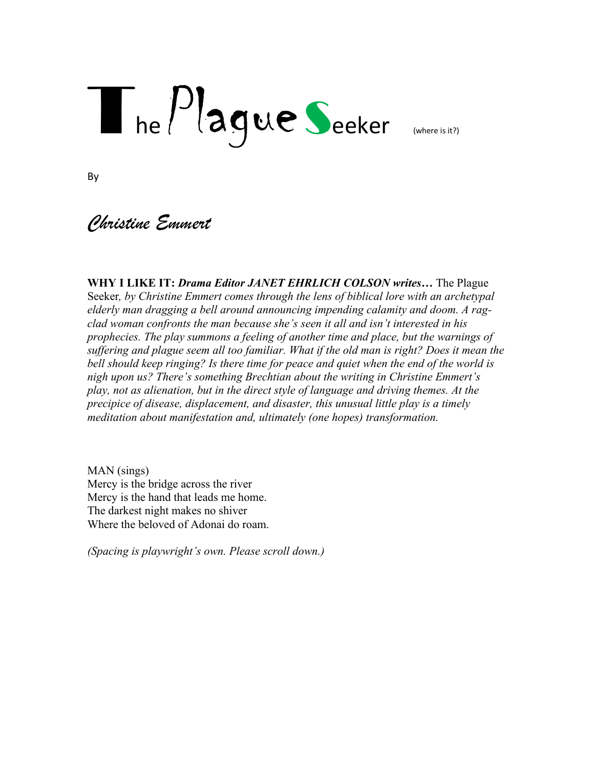# $T_{he}$  $Pl$ agueSeeker (where is it?)

By

# *Christine Emmert*

**WHY I LIKE IT:** *Drama Editor JANET EHRLICH COLSON writes…* The Plague Seeker*, by Christine Emmert comes through the lens of biblical lore with an archetypal elderly man dragging a bell around announcing impending calamity and doom. A ragclad woman confronts the man because she's seen it all and isn't interested in his prophecies. The play summons a feeling of another time and place, but the warnings of*  suffering and plague seem all too familiar. What if the old man is right? Does it mean the *bell should keep ringing? Is there time for peace and quiet when the end of the world is nigh upon us? There's something Brechtian about the writing in Christine Emmert's play, not as alienation, but in the direct style of language and driving themes. At the precipice of disease, displacement, and disaster, this unusual little play is a timely meditation about manifestation and, ultimately (one hopes) transformation.* 

MAN (sings) Mercy is the bridge across the river Mercy is the hand that leads me home. The darkest night makes no shiver Where the beloved of Adonai do roam.

*(Spacing is playwright's own. Please scroll down.)*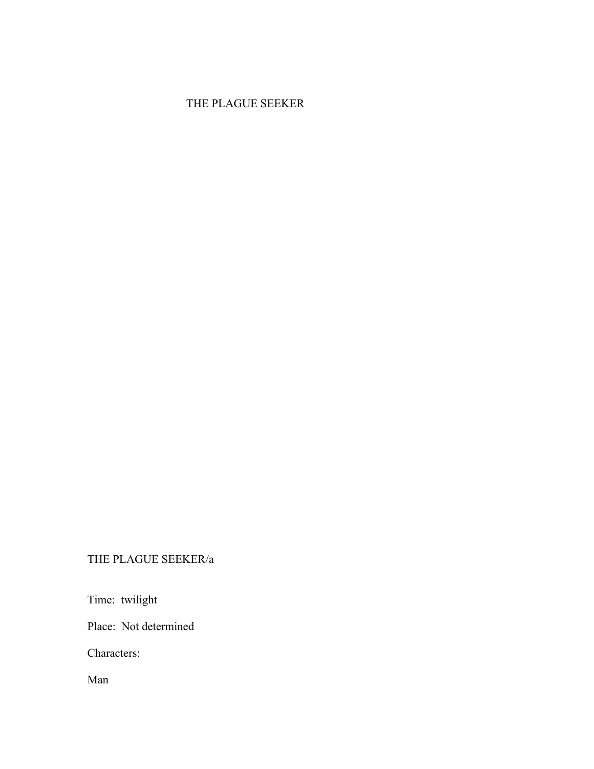## THE PLAGUE SEEKER

### THE PLAGUE SEEKER/a

Time: twilight

Place: Not determined

Characters:

Man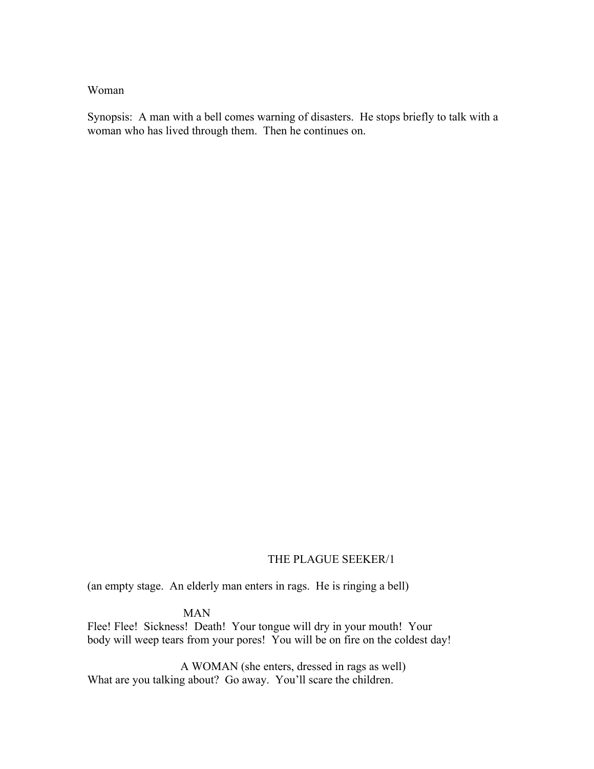#### Woman

Synopsis: A man with a bell comes warning of disasters. He stops briefly to talk with a woman who has lived through them. Then he continues on.

#### THE PLAGUE SEEKER/1

(an empty stage. An elderly man enters in rags. He is ringing a bell)

#### MAN

Flee! Flee! Sickness! Death! Your tongue will dry in your mouth! Your body will weep tears from your pores! You will be on fire on the coldest day!

 A WOMAN (she enters, dressed in rags as well) What are you talking about? Go away. You'll scare the children.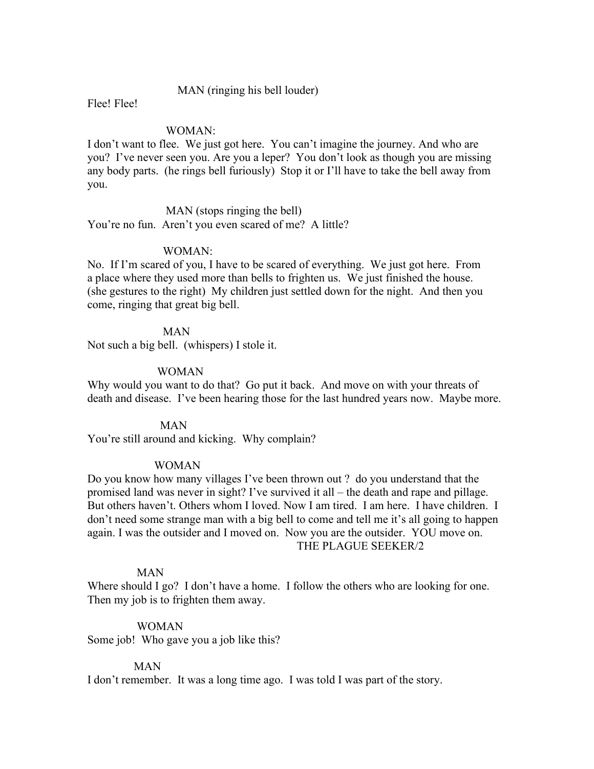#### MAN (ringing his bell louder)

Flee! Flee!

#### WOMAN:

I don't want to flee. We just got here. You can't imagine the journey. And who are you? I've never seen you. Are you a leper? You don't look as though you are missing any body parts. (he rings bell furiously) Stop it or I'll have to take the bell away from you.

 MAN (stops ringing the bell) You're no fun. Aren't you even scared of me? A little?

#### WOMAN:

No. If I'm scared of you, I have to be scared of everything. We just got here. From a place where they used more than bells to frighten us. We just finished the house. (she gestures to the right) My children just settled down for the night. And then you come, ringing that great big bell.

#### MAN

Not such a big bell. (whispers) I stole it.

#### WOMAN

Why would you want to do that? Go put it back. And move on with your threats of death and disease. I've been hearing those for the last hundred years now. Maybe more.

#### MAN

You're still around and kicking. Why complain?

#### WOMAN

Do you know how many villages I've been thrown out ? do you understand that the promised land was never in sight? I've survived it all – the death and rape and pillage. But others haven't. Others whom I loved. Now I am tired. I am here. I have children. I don't need some strange man with a big bell to come and tell me it's all going to happen again. I was the outsider and I moved on. Now you are the outsider. YOU move on. THE PLAGUE SEEKER/2

#### MAN

Where should I go? I don't have a home. I follow the others who are looking for one. Then my job is to frighten them away.

#### WOMAN

Some job! Who gave you a job like this?

#### MAN

I don't remember. It was a long time ago. I was told I was part of the story.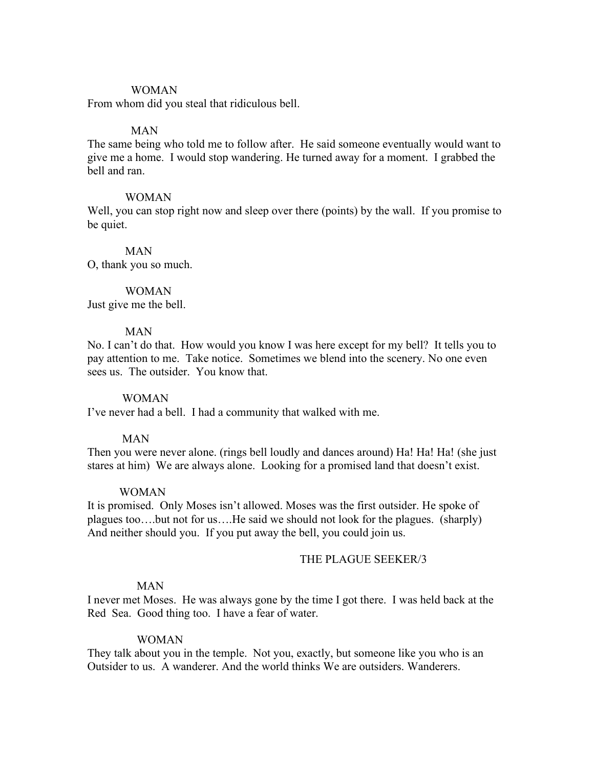#### WOMAN

From whom did you steal that ridiculous bell.

#### MAN

The same being who told me to follow after. He said someone eventually would want to give me a home. I would stop wandering. He turned away for a moment. I grabbed the bell and ran.

#### WOMAN

Well, you can stop right now and sleep over there (points) by the wall. If you promise to be quiet.

#### MAN

O, thank you so much.

#### WOMAN

Just give me the bell.

#### MAN

No. I can't do that. How would you know I was here except for my bell? It tells you to pay attention to me. Take notice. Sometimes we blend into the scenery. No one even sees us. The outsider. You know that.

#### WOMAN

I've never had a bell. I had a community that walked with me.

#### MAN

Then you were never alone. (rings bell loudly and dances around) Ha! Ha! Ha! (she just stares at him) We are always alone. Looking for a promised land that doesn't exist.

#### WOMAN

It is promised. Only Moses isn't allowed. Moses was the first outsider. He spoke of plagues too….but not for us….He said we should not look for the plagues. (sharply) And neither should you. If you put away the bell, you could join us.

#### THE PLAGUE SEEKER/3

#### MAN

I never met Moses. He was always gone by the time I got there. I was held back at the Red Sea. Good thing too. I have a fear of water.

#### WOMAN

They talk about you in the temple. Not you, exactly, but someone like you who is an Outsider to us. A wanderer. And the world thinks We are outsiders. Wanderers.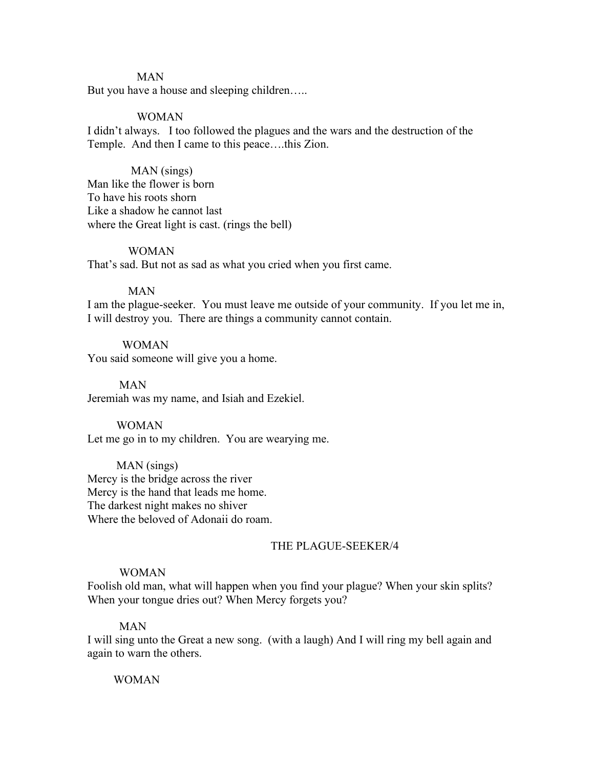#### MAN

But you have a house and sleeping children…..

#### WOMAN

I didn't always. I too followed the plagues and the wars and the destruction of the Temple. And then I came to this peace….this Zion.

#### MAN (sings)

Man like the flower is born To have his roots shorn Like a shadow he cannot last where the Great light is cast. (rings the bell)

#### WOMAN

That's sad. But not as sad as what you cried when you first came.

#### MAN

I am the plague-seeker. You must leave me outside of your community. If you let me in, I will destroy you. There are things a community cannot contain.

#### WOMAN

You said someone will give you a home.

 MAN Jeremiah was my name, and Isiah and Ezekiel.

#### WOMAN Let me go in to my children. You are wearying me.

 MAN (sings) Mercy is the bridge across the river Mercy is the hand that leads me home. The darkest night makes no shiver Where the beloved of Adonaii do roam.

#### THE PLAGUE-SEEKER/4

#### WOMAN

Foolish old man, what will happen when you find your plague? When your skin splits? When your tongue dries out? When Mercy forgets you?

#### MAN

I will sing unto the Great a new song. (with a laugh) And I will ring my bell again and again to warn the others.

#### WOMAN